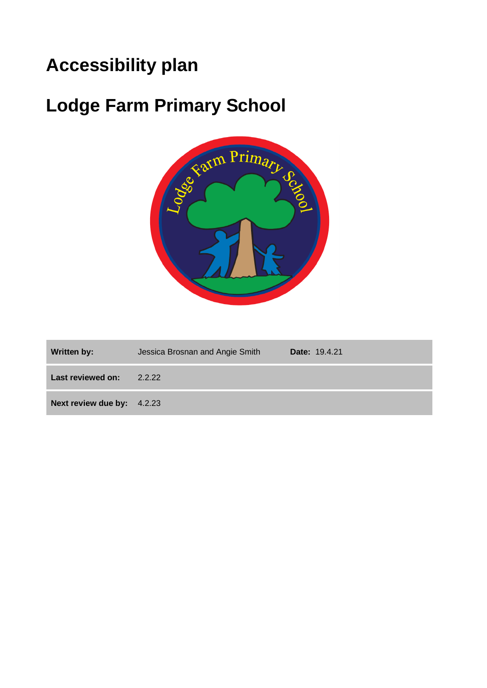# **Accessibility plan**

# **Lodge Farm Primary School**



| Written by:                | Jessica Brosnan and Angie Smith | <b>Date: 19.4.21</b> |
|----------------------------|---------------------------------|----------------------|
| Last reviewed on:          | 2.2.22                          |                      |
| Next review due by: 4.2.23 |                                 |                      |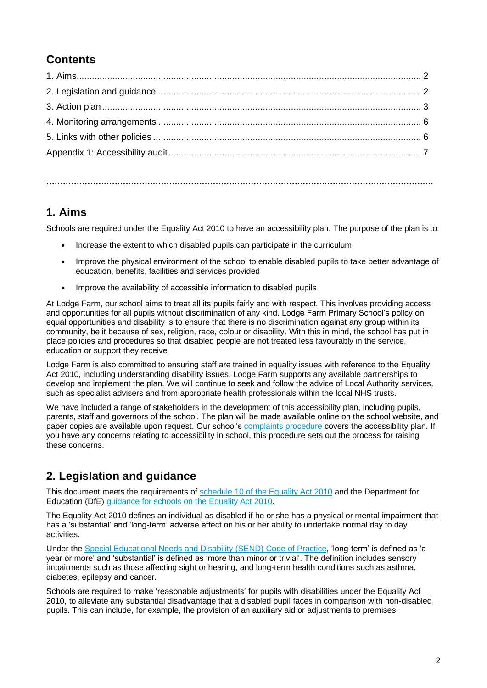### **Contents**

**…………………………………………………………………………………………………………………………….**

#### **1. Aims**

Schools are required under the Equality Act 2010 to have an accessibility plan. The purpose of the plan is to:

- Increase the extent to which disabled pupils can participate in the curriculum
- Improve the physical environment of the school to enable disabled pupils to take better advantage of education, benefits, facilities and services provided
- Improve the availability of accessible information to disabled pupils

At Lodge Farm, our school aims to treat all its pupils fairly and with respect. This involves providing access and opportunities for all pupils without discrimination of any kind. Lodge Farm Primary School's policy on equal opportunities and disability is to ensure that there is no discrimination against any group within its community, be it because of sex, religion, race, colour or disability. With this in mind, the school has put in place policies and procedures so that disabled people are not treated less favourably in the service, education or support they receive

Lodge Farm is also committed to ensuring staff are trained in equality issues with reference to the Equality Act 2010, including understanding disability issues. Lodge Farm supports any available partnerships to develop and implement the plan. We will continue to seek and follow the advice of Local Authority services, such as specialist advisers and from appropriate health professionals within the local NHS trusts.

We have included a range of stakeholders in the development of this accessibility plan, including pupils, parents, staff and governors of the school. The plan will be made available online on the school website, and paper copies are available upon request. Our school's [complaints procedure](http://lodgefarm.herts.sch.uk/download/complaints-procedure-march-2021/) covers the accessibility plan. If you have any concerns relating to accessibility in school, this procedure sets out the process for raising these concerns.

### **2. Legislation and guidance**

This document meets the requirements of [schedule 10 of the Equality Act 2010](http://www.legislation.gov.uk/ukpga/2010/15/schedule/10) and the Department for Education (DfE) [guidance for schools on the Equality Act 2010.](https://www.gov.uk/government/publications/equality-act-2010-advice-for-schools)

The Equality Act 2010 defines an individual as disabled if he or she has a physical or mental impairment that has a 'substantial' and 'long-term' adverse effect on his or her ability to undertake normal day to day activities.

Under the [Special Educational Needs and Disability \(SEND\) Code of Practice,](https://www.gov.uk/government/publications/send-code-of-practice-0-to-25) 'long-term' is defined as 'a year or more' and 'substantial' is defined as 'more than minor or trivial'. The definition includes sensory impairments such as those affecting sight or hearing, and long-term health conditions such as asthma, diabetes, epilepsy and cancer.

Schools are required to make 'reasonable adjustments' for pupils with disabilities under the Equality Act 2010, to alleviate any substantial disadvantage that a disabled pupil faces in comparison with non-disabled pupils. This can include, for example, the provision of an auxiliary aid or adjustments to premises.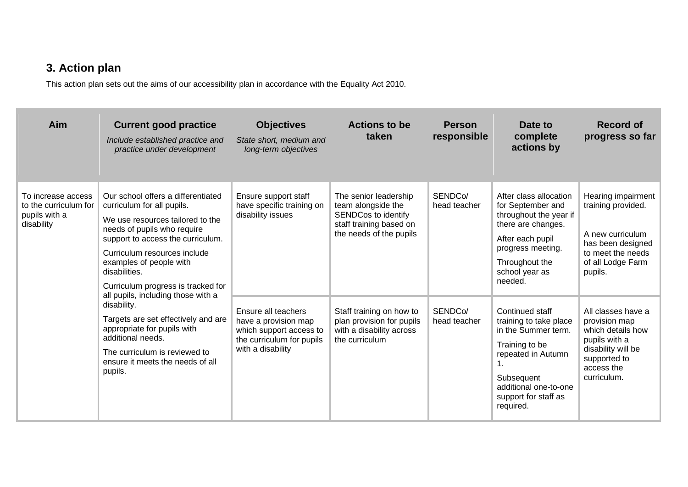## **3. Action plan**

This action plan sets out the aims of our accessibility plan in accordance with the Equality Act 2010.

| Aim                                                                        | <b>Current good practice</b><br>Include established practice and<br>practice under development                                                                                                                                                                                                                                   | <b>Objectives</b><br>State short, medium and<br>long-term objectives                                                     | <b>Actions to be</b><br>taken                                                                                                   | <b>Person</b><br>responsible | Date to<br>complete<br>actions by                                                                                                                                                                      | <b>Record of</b><br>progress so far                                                                                                          |
|----------------------------------------------------------------------------|----------------------------------------------------------------------------------------------------------------------------------------------------------------------------------------------------------------------------------------------------------------------------------------------------------------------------------|--------------------------------------------------------------------------------------------------------------------------|---------------------------------------------------------------------------------------------------------------------------------|------------------------------|--------------------------------------------------------------------------------------------------------------------------------------------------------------------------------------------------------|----------------------------------------------------------------------------------------------------------------------------------------------|
| To increase access<br>to the curriculum for<br>pupils with a<br>disability | Our school offers a differentiated<br>curriculum for all pupils.<br>We use resources tailored to the<br>needs of pupils who require<br>support to access the curriculum.<br>Curriculum resources include<br>examples of people with<br>disabilities.<br>Curriculum progress is tracked for<br>all pupils, including those with a | Ensure support staff<br>have specific training on<br>disability issues                                                   | The senior leadership<br>team alongside the<br><b>SENDCos to identify</b><br>staff training based on<br>the needs of the pupils | SENDCo/<br>head teacher      | After class allocation<br>for September and<br>throughout the year if<br>there are changes.<br>After each pupil<br>progress meeting.<br>Throughout the<br>school year as<br>needed.                    | Hearing impairment<br>training provided.<br>A new curriculum<br>has been designed<br>to meet the needs<br>of all Lodge Farm<br>pupils.       |
|                                                                            | disability.<br>Targets are set effectively and are<br>appropriate for pupils with<br>additional needs.<br>The curriculum is reviewed to<br>ensure it meets the needs of all<br>pupils.                                                                                                                                           | Ensure all teachers<br>have a provision map<br>which support access to<br>the curriculum for pupils<br>with a disability | Staff training on how to<br>plan provision for pupils<br>with a disability across<br>the curriculum                             | SENDCo/<br>head teacher      | Continued staff<br>training to take place<br>in the Summer term.<br>Training to be<br>repeated in Autumn<br>1 <sub>1</sub><br>Subsequent<br>additional one-to-one<br>support for staff as<br>required. | All classes have a<br>provision map<br>which details how<br>pupils with a<br>disability will be<br>supported to<br>access the<br>curriculum. |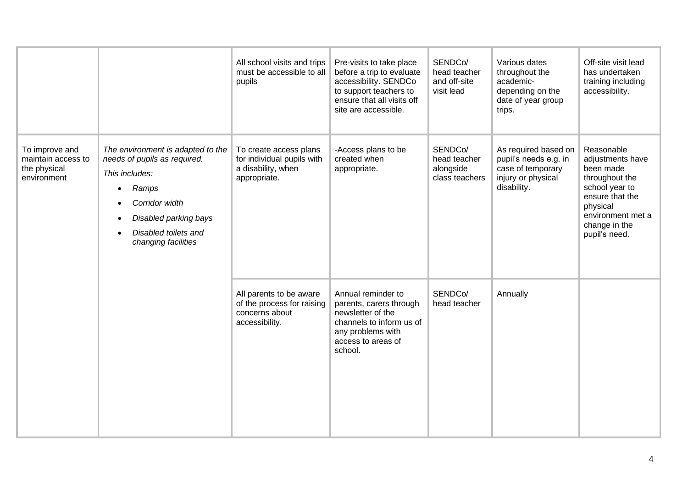| To improve and<br>maintain access to<br>the physical<br>environment | The environment is adapted to the<br>needs of pupils as required.<br>This includes:<br>Ramps<br>$\bullet$<br>Corridor width<br>Disabled parking bays<br>Disabled toilets and<br>changing facilities | All school visits and trips<br>must be accessible to all<br>pupils<br>To create access plans<br>for individual pupils with<br>a disability, when<br>appropriate. | Pre-visits to take place<br>before a trip to evaluate<br>accessibility. SENDCo<br>to support teachers to<br>ensure that all visits off<br>site are accessible.<br>-Access plans to be<br>created when<br>appropriate. | SENDCo/<br>head teacher<br>and off-site<br>visit lead<br>SENDCo/<br>head teacher<br>alongside<br>class teachers | Various dates<br>throughout the<br>academic-<br>depending on the<br>date of year group<br>trips.<br>As required based on<br>pupil's needs e.g. in<br>case of temporary<br>injury or physical<br>disability. | Off-site visit lead<br>has undertaken<br>training including<br>accessibility.<br>Reasonable<br>adjustments have<br>been made<br>throughout the<br>school year to<br>ensure that the<br>physical<br>environment met a<br>change in the<br>pupil's need. |
|---------------------------------------------------------------------|-----------------------------------------------------------------------------------------------------------------------------------------------------------------------------------------------------|------------------------------------------------------------------------------------------------------------------------------------------------------------------|-----------------------------------------------------------------------------------------------------------------------------------------------------------------------------------------------------------------------|-----------------------------------------------------------------------------------------------------------------|-------------------------------------------------------------------------------------------------------------------------------------------------------------------------------------------------------------|--------------------------------------------------------------------------------------------------------------------------------------------------------------------------------------------------------------------------------------------------------|
|                                                                     |                                                                                                                                                                                                     | All parents to be aware<br>of the process for raising<br>concerns about<br>accessibility.                                                                        | Annual reminder to<br>parents, carers through<br>newsletter of the<br>channels to inform us of<br>any problems with<br>access to areas of<br>school.                                                                  | SENDCo/<br>head teacher                                                                                         | Annually                                                                                                                                                                                                    |                                                                                                                                                                                                                                                        |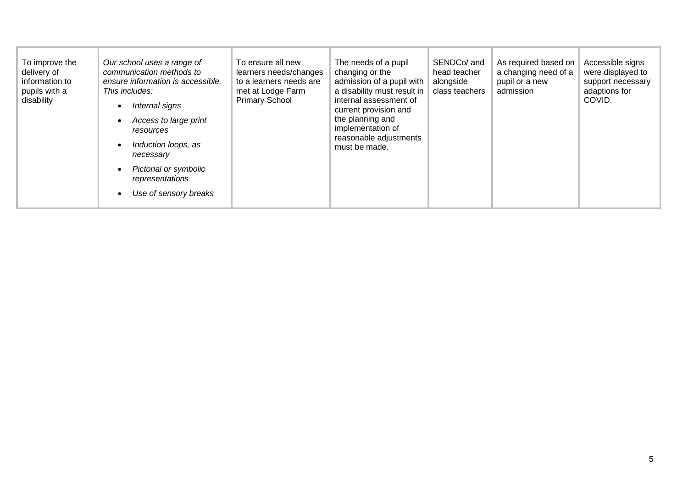| To improve the<br>delivery of<br>information to<br>pupils with a<br>disability | Our school uses a range of<br>communication methods to<br>ensure information is accessible.<br>This includes:<br>Internal signs<br>Access to large print<br>resources<br>Induction loops, as<br>necessary<br>Pictorial or symbolic<br>representations<br>Use of sensory breaks | To ensure all new<br>learners needs/changes<br>to a learners needs are<br>met at Lodge Farm<br><b>Primary School</b> | The needs of a pupil<br>changing or the<br>admission of a pupil with<br>a disability must result in<br>internal assessment of<br>current provision and<br>the planning and<br>implementation of<br>reasonable adjustments<br>must be made. | SENDCo/ and<br>head teacher<br>alongside<br>class teachers | As required based on<br>a changing need of a<br>pupil or a new<br>admission | Accessible signs<br>were displayed to<br>support necessary<br>adaptions for<br>COVID. |
|--------------------------------------------------------------------------------|--------------------------------------------------------------------------------------------------------------------------------------------------------------------------------------------------------------------------------------------------------------------------------|----------------------------------------------------------------------------------------------------------------------|--------------------------------------------------------------------------------------------------------------------------------------------------------------------------------------------------------------------------------------------|------------------------------------------------------------|-----------------------------------------------------------------------------|---------------------------------------------------------------------------------------|
|--------------------------------------------------------------------------------|--------------------------------------------------------------------------------------------------------------------------------------------------------------------------------------------------------------------------------------------------------------------------------|----------------------------------------------------------------------------------------------------------------------|--------------------------------------------------------------------------------------------------------------------------------------------------------------------------------------------------------------------------------------------|------------------------------------------------------------|-----------------------------------------------------------------------------|---------------------------------------------------------------------------------------|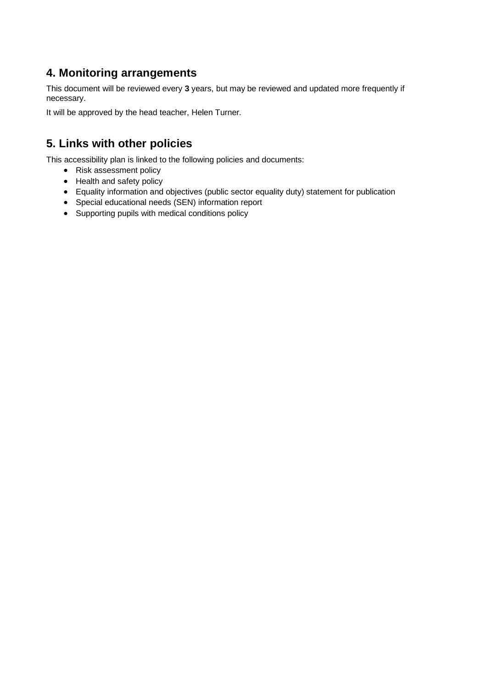#### **4. Monitoring arrangements**

This document will be reviewed every **3** years, but may be reviewed and updated more frequently if necessary.

It will be approved by the head teacher, Helen Turner.

#### **5. Links with other policies**

This accessibility plan is linked to the following policies and documents:

- Risk assessment policy
- Health and safety policy
- Equality information and objectives (public sector equality duty) statement for publication
- Special educational needs (SEN) information report
- Supporting pupils with medical conditions policy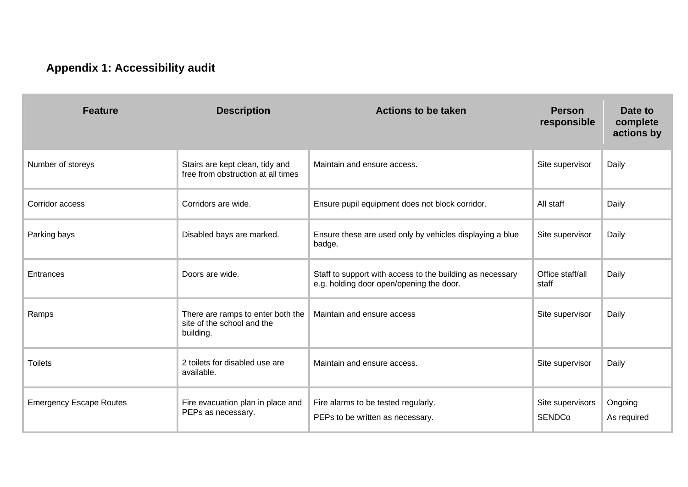# **Appendix 1: Accessibility audit**

| <b>Feature</b>                 | <b>Description</b>                                                           | <b>Actions to be taken</b>                                                                            | <b>Person</b><br>responsible      | Date to<br>complete<br>actions by |
|--------------------------------|------------------------------------------------------------------------------|-------------------------------------------------------------------------------------------------------|-----------------------------------|-----------------------------------|
| Number of storeys              | Stairs are kept clean, tidy and<br>free from obstruction at all times        | Maintain and ensure access.                                                                           | Site supervisor                   | Daily                             |
| Corridor access                | Corridors are wide.                                                          | Ensure pupil equipment does not block corridor.                                                       | All staff                         | Daily                             |
| Parking bays                   | Disabled bays are marked.                                                    | Ensure these are used only by vehicles displaying a blue<br>badge.                                    | Site supervisor                   | Daily                             |
| Entrances                      | Doors are wide.                                                              | Staff to support with access to the building as necessary<br>e.g. holding door open/opening the door. | Office staff/all<br>staff         | Daily                             |
| Ramps                          | There are ramps to enter both the<br>site of the school and the<br>building. | Maintain and ensure access                                                                            | Site supervisor                   | Daily                             |
| <b>Toilets</b>                 | 2 toilets for disabled use are<br>available.                                 | Maintain and ensure access.                                                                           | Site supervisor                   | Daily                             |
| <b>Emergency Escape Routes</b> | Fire evacuation plan in place and<br>PEPs as necessary.                      | Fire alarms to be tested regularly.<br>PEPs to be written as necessary.                               | Site supervisors<br><b>SENDCo</b> | Ongoing<br>As required            |